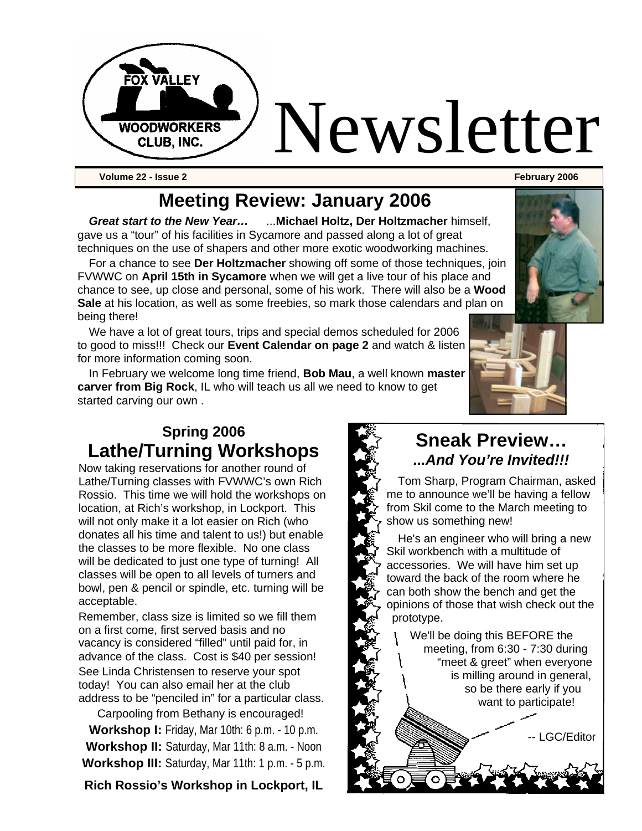

## **Meeting Review: January 2006**

*Great start to the New Year…* ...**Michael Holtz, Der Holtzmacher** himself, gave us a "tour" of his facilities in Sycamore and passed along a lot of great techniques on the use of shapers and other more exotic woodworking machines.

For a chance to see **Der Holtzmacher** showing off some of those techniques, join FVWWC on **April 15th in Sycamore** when we will get a live tour of his place and chance to see, up close and personal, some of his work. There will also be a **Wood Sale** at his location, as well as some freebies, so mark those calendars and plan on being there!

We have a lot of great tours, trips and special demos scheduled for 2006 to good to miss!!! Check our **Event Calendar on page 2** and watch & listen for more information coming soon.

In February we welcome long time friend, **Bob Mau**, a well known **master carver from Big Rock**, IL who will teach us all we need to know to get started carving our own .

#### **Spring 2006 Lathe/Turning Workshops**

Now taking reservations for another round of Lathe/Turning classes with FVWWC's own Rich Rossio. This time we will hold the workshops on location, at Rich's workshop, in Lockport. This will not only make it a lot easier on Rich (who donates all his time and talent to us!) but enable the classes to be more flexible. No one class will be dedicated to just one type of turning! All classes will be open to all levels of turners and bowl, pen & pencil or spindle, etc. turning will be acceptable.

Remember, class size is limited so we fill them on a first come, first served basis and no vacancy is considered "filled" until paid for, in advance of the class. Cost is \$40 per session! See Linda Christensen to reserve your spot today! You can also email her at the club address to be "penciled in" for a particular class.

Carpooling from Bethany is encouraged! **Workshop I:** Friday, Mar 10th: 6 p.m. - 10 p.m.

**Workshop II:** Saturday, Mar 11th: 8 a.m. - Noon **Workshop III:** Saturday, Mar 11th: 1 p.m. - 5 p.m.

**Rich Rossio's Workshop in Lockport, IL**



#### **Sneak Preview…** *...And You're Invited!!!*

Tom Sharp, Program Chairman, asked me to announce we'll be having a fellow from Skil come to the March meeting to show us something new!

He's an engineer who will bring a new Skil workbench with a multitude of accessories. We will have him set up toward the back of the room where he can both show the bench and get the opinions of those that wish check out the prototype.

> We'll be doing this BEFORE the meeting, from 6:30 - 7:30 during "meet & greet" when everyone is milling around in general, so be there early if you want to participate!

> > LGC/Editor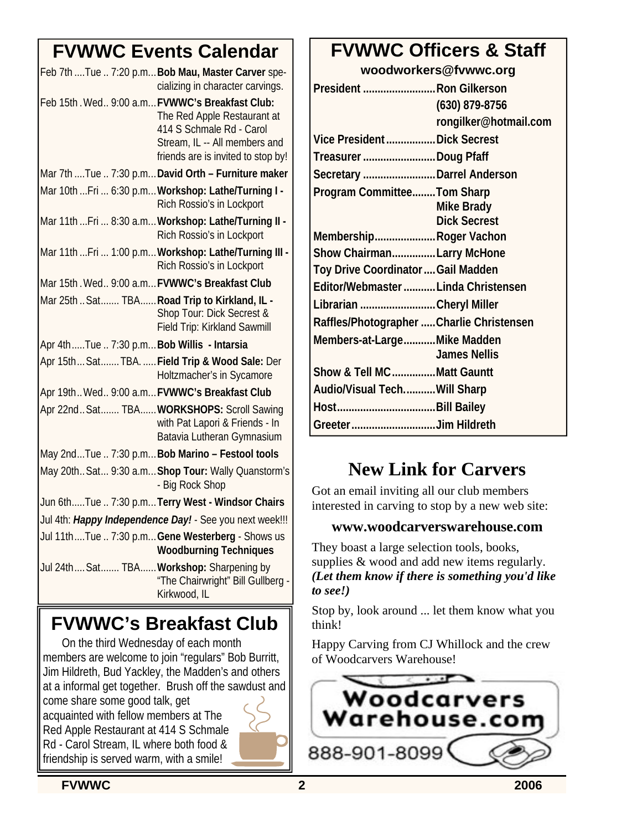## **FVWWC Events Calendar**

| Feb 7th  Tue  7:20 p.m Bob Mau, Master Carver spe-<br>cializing in character carvings.                                                                                             |  |  |  |  |
|------------------------------------------------------------------------------------------------------------------------------------------------------------------------------------|--|--|--|--|
| Feb 15th. Wed., 9:00 a.m FVWWC's Breakfast Club:<br>The Red Apple Restaurant at<br>414 S Schmale Rd - Carol<br>Stream, IL -- All members and<br>friends are is invited to stop by! |  |  |  |  |
| Mar 7th  Tue  7:30 p.m David Orth - Furniture maker                                                                                                                                |  |  |  |  |
| Mar 10th  Fri  6:30 p.m Workshop: Lathe/Turning I -<br>Rich Rossio's in Lockport                                                                                                   |  |  |  |  |
| Mar 11th  Fri  8:30 a.m Workshop: Lathe/Turning II -<br>Rich Rossio's in Lockport                                                                                                  |  |  |  |  |
| Mar 11th  Fri  1:00 p.m Workshop: Lathe/Turning III -<br>Rich Rossio's in Lockport                                                                                                 |  |  |  |  |
| Mar 15th. Wed., 9:00 a.m FVWWC's Breakfast Club                                                                                                                                    |  |  |  |  |
| Mar 25th  Sat  TBA  Road Trip to Kirkland, IL -<br>Shop Tour: Dick Secrest &<br>Field Trip: Kirkland Sawmill                                                                       |  |  |  |  |
| Apr 4thTue  7:30 p.m Bob Willis - Intarsia                                                                                                                                         |  |  |  |  |
| Apr 15th Sat TBA.  Field Trip & Wood Sale: Der<br>Holtzmacher's in Sycamore                                                                                                        |  |  |  |  |
| Apr 19th Wed 9:00 a.m FVWWC's Breakfast Club                                                                                                                                       |  |  |  |  |
| Apr 22nd Sat TBA WORKSHOPS: Scroll Sawing<br>with Pat Lapori & Friends - In<br>Batavia Lutheran Gymnasium                                                                          |  |  |  |  |
| May 2ndTue  7:30 p.m Bob Marino - Festool tools                                                                                                                                    |  |  |  |  |
| May 20th Sat 9:30 a.m Shop Tour: Wally Quanstorm's<br>- Big Rock Shop                                                                                                              |  |  |  |  |
| Jun 6thTue  7:30 p.mTerry West - Windsor Chairs                                                                                                                                    |  |  |  |  |
| Jul 4th: Happy Independence Day! - See you next week!!!                                                                                                                            |  |  |  |  |
| Jul 11thTue  7:30 p.m Gene Westerberg - Shows us<br><b>Woodburning Techniques</b>                                                                                                  |  |  |  |  |
| Jul 24th Sat TBA Workshop: Sharpening by<br>"The Chairwright" Bill Gullberg -<br>Kirkwood, IL                                                                                      |  |  |  |  |

## **FVWWC's Breakfast Club**

On the third Wednesday of each month members are welcome to join "regulars" Bob Burritt, Jim Hildreth, Bud Yackley, the Madden's and others at a informal get together. Brush off the sawdust and come share some good talk, get acquainted with fellow members at The Red Apple Restaurant at 414 S Schmale Rd - Carol Stream, IL where both food & friendship is served warm, with a smile!

## **FVWWC Officers & Staff**

**woodworkers@fvwwc.org**

| President  Ron Gilkerson                  |                       |  |  |  |
|-------------------------------------------|-----------------------|--|--|--|
|                                           | (630) 879-8756        |  |  |  |
|                                           | rongilker@hotmail.com |  |  |  |
| Vice President  Dick Secrest              |                       |  |  |  |
| Treasurer Doug Pfaff                      |                       |  |  |  |
| Secretary  Darrel Anderson                |                       |  |  |  |
| <b>Program CommitteeTom Sharp</b>         |                       |  |  |  |
|                                           | Mike Brady            |  |  |  |
|                                           | <b>Dick Secrest</b>   |  |  |  |
| MembershipRoger Vachon                    |                       |  |  |  |
| Show ChairmanLarry McHone                 |                       |  |  |  |
| Toy Drive Coordinator  Gail Madden        |                       |  |  |  |
| Editor/Webmaster Linda Christensen        |                       |  |  |  |
| Librarian Cheryl Miller                   |                       |  |  |  |
| Raffles/Photographer  Charlie Christensen |                       |  |  |  |
| Members-at-LargeMike Madden               | <b>James Nellis</b>   |  |  |  |
| Show & Tell MC Matt Gauntt                |                       |  |  |  |
| Audio/Visual TechWill Sharp               |                       |  |  |  |
|                                           |                       |  |  |  |
| Greeter Jim Hildreth                      |                       |  |  |  |

## **New Link for Carvers**

Got an email inviting all our club members interested in carving to stop by a new web site:

#### **www.woodcarverswarehouse.com**

They boast a large selection tools, books, supplies  $&$  wood and add new items regularly. *(Let them know if there is something you'd like to see!)*

Stop by, look around ... let them know what you think!

Happy Carving from CJ Whillock and the crew of Woodcarvers Warehouse!

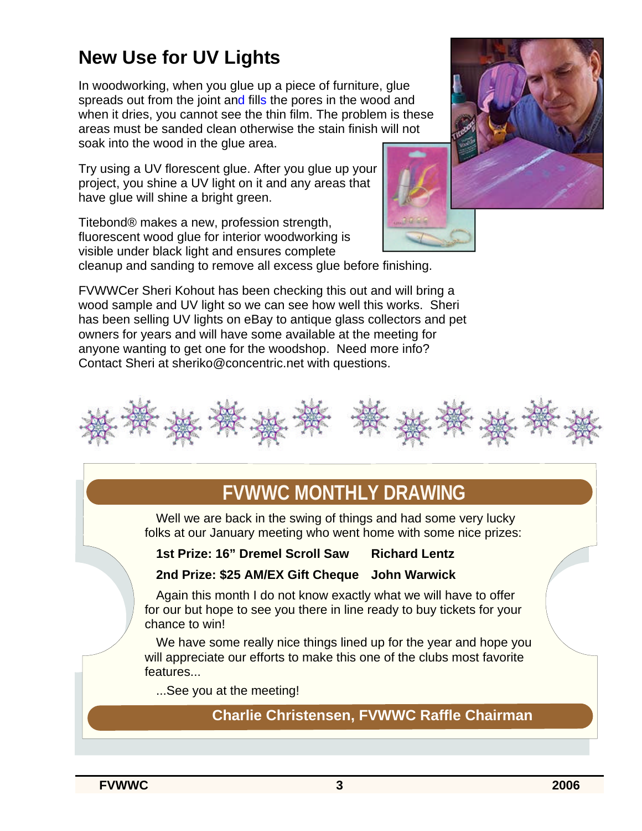## **New Use for UV Lights**

In woodworking, when you glue up a piece of furniture, glue spreads out from the joint and fills the pores in the wood and when it dries, you cannot see the thin film. The problem is these areas must be sanded clean otherwise the stain finish will not soak into the wood in the glue area.

Try using a UV florescent glue. After you glue up your project, you shine a UV light on it and any areas that have glue will shine a bright green.

Titebond® makes a new, profession strength, fluorescent wood glue for interior woodworking is visible under black light and ensures complete



cleanup and sanding to remove all excess glue before finishing.

FVWWCer Sheri Kohout has been checking this out and will bring a wood sample and UV light so we can see how well this works. Sheri has been selling UV lights on eBay to antique glass collectors and pet owners for years and will have some available at the meeting for anyone wanting to get one for the woodshop. Need more info? Contact Sheri at sheriko@concentric.net with questions.



## **FVWWC MONTHLY DRAWING**

Well we are back in the swing of things and had some very lucky folks at our January meeting who went home with some nice prizes:

#### **1st Prize: 16" Dremel Scroll Saw Richard Lentz**

#### **2nd Prize: \$25 AM/EX Gift Cheque John Warwick**

Again this month I do not know exactly what we will have to offer for our but hope to see you there in line ready to buy tickets for your chance to win!

We have some really nice things lined up for the year and hope you will appreciate our efforts to make this one of the clubs most favorite features...

...See you at the meeting!

**Charlie Christensen, FVWWC Raffle Chairman**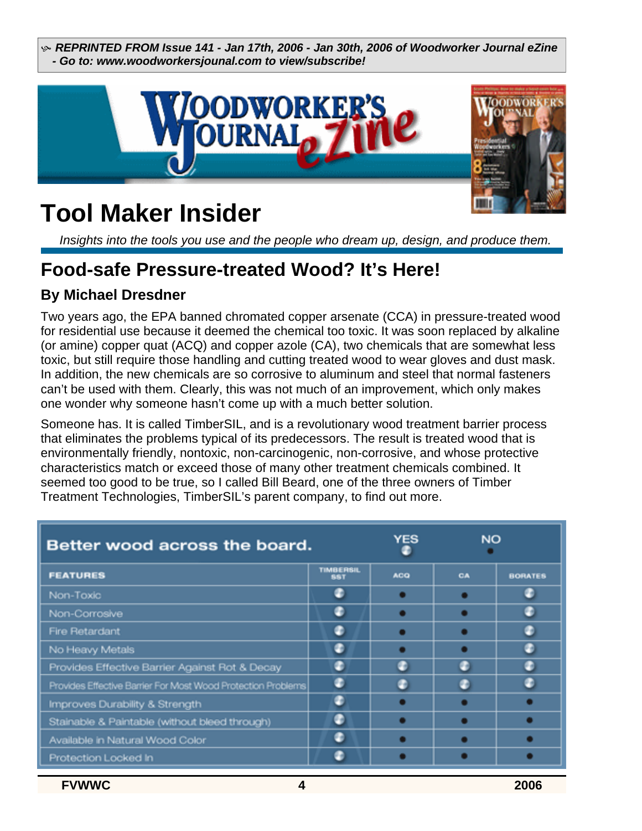h *REPRINTED FROM Issue 141 - Jan 17th, 2006 - Jan 30th, 2006 of Woodworker Journal eZine - Go to: www.woodworkersjounal.com to view/subscribe!*



## **Tool Maker Insider**

*Insights into the tools you use and the people who dream up, design, and produce them.* 

#### **Food-safe Pressure-treated Wood? It's Here!**

#### **By Michael Dresdner**

Two years ago, the EPA banned chromated copper arsenate (CCA) in pressure-treated wood for residential use because it deemed the chemical too toxic. It was soon replaced by alkaline (or amine) copper quat (ACQ) and copper azole (CA), two chemicals that are somewhat less toxic, but still require those handling and cutting treated wood to wear gloves and dust mask. In addition, the new chemicals are so corrosive to aluminum and steel that normal fasteners can't be used with them. Clearly, this was not much of an improvement, which only makes one wonder why someone hasn't come up with a much better solution.

Someone has. It is called TimberSIL, and is a revolutionary wood treatment barrier process that eliminates the problems typical of its predecessors. The result is treated wood that is environmentally friendly, nontoxic, non-carcinogenic, non-corrosive, and whose protective characteristics match or exceed those of many other treatment chemicals combined. It seemed too good to be true, so I called Bill Beard, one of the three owners of Timber Treatment Technologies, TimberSIL's parent company, to find out more.

| Better wood across the board.                                |                                | YES        | <b>NO</b> |                |
|--------------------------------------------------------------|--------------------------------|------------|-----------|----------------|
| <b>FEATURES</b>                                              | <b>TIMBERSIL</b><br><b>SST</b> | <b>ACQ</b> | CA        | <b>BORATES</b> |
| Non-Toxic                                                    |                                |            |           |                |
| Non-Corrosive                                                | æ                              |            |           |                |
| <b>Fire Retardant</b>                                        |                                |            |           |                |
| No Heavy Metals                                              |                                |            |           |                |
| Provides Effective Barrier Against Rot & Decay               |                                |            |           |                |
| Provides Effective Barrier For Most Wood Protection Problems |                                |            |           |                |
| Improves Durability & Strength                               |                                |            |           |                |
| Stainable & Paintable (without bleed through)                |                                |            |           |                |
| Available in Natural Wood Color                              |                                |            |           |                |
| Protection Locked In                                         |                                |            |           |                |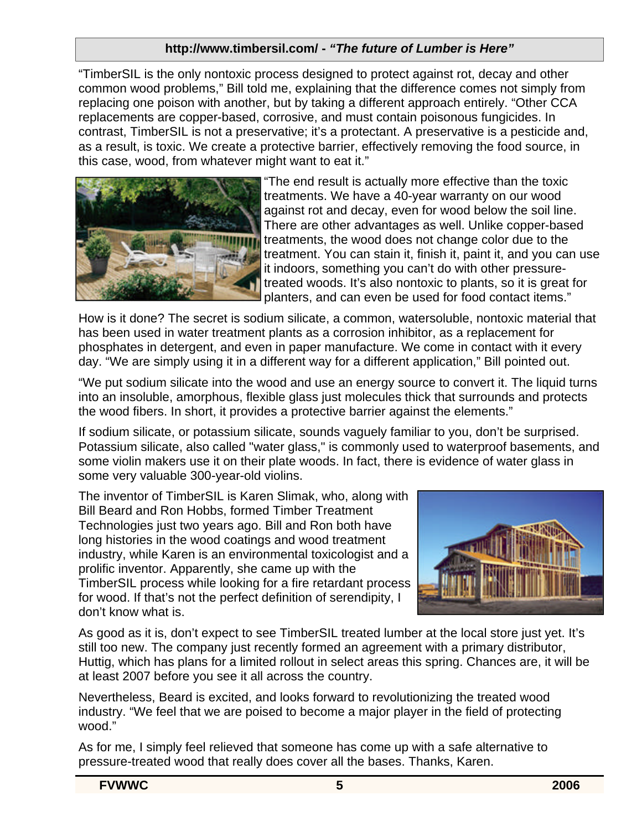#### **http://www.timbersil.com/ -** *"The future of Lumber is Here"*

"TimberSIL is the only nontoxic process designed to protect against rot, decay and other common wood problems," Bill told me, explaining that the difference comes not simply from replacing one poison with another, but by taking a different approach entirely. "Other CCA replacements are copper-based, corrosive, and must contain poisonous fungicides. In contrast, TimberSIL is not a preservative; it's a protectant. A preservative is a pesticide and, as a result, is toxic. We create a protective barrier, effectively removing the food source, in this case, wood, from whatever might want to eat it."



"The end result is actually more effective than the toxic treatments. We have a 40-year warranty on our wood against rot and decay, even for wood below the soil line. There are other advantages as well. Unlike copper-based treatments, the wood does not change color due to the treatment. You can stain it, finish it, paint it, and you can use it indoors, something you can't do with other pressuretreated woods. It's also nontoxic to plants, so it is great for planters, and can even be used for food contact items."

How is it done? The secret is sodium silicate, a common, watersoluble, nontoxic material that has been used in water treatment plants as a corrosion inhibitor, as a replacement for phosphates in detergent, and even in paper manufacture. We come in contact with it every day. "We are simply using it in a different way for a different application," Bill pointed out.

"We put sodium silicate into the wood and use an energy source to convert it. The liquid turns into an insoluble, amorphous, flexible glass just molecules thick that surrounds and protects the wood fibers. In short, it provides a protective barrier against the elements."

If sodium silicate, or potassium silicate, sounds vaguely familiar to you, don't be surprised. Potassium silicate, also called "water glass," is commonly used to waterproof basements, and some violin makers use it on their plate woods. In fact, there is evidence of water glass in some very valuable 300-year-old violins.

The inventor of TimberSIL is Karen Slimak, who, along with Bill Beard and Ron Hobbs, formed Timber Treatment Technologies just two years ago. Bill and Ron both have long histories in the wood coatings and wood treatment industry, while Karen is an environmental toxicologist and a prolific inventor. Apparently, she came up with the TimberSIL process while looking for a fire retardant process for wood. If that's not the perfect definition of serendipity, I don't know what is.



As good as it is, don't expect to see TimberSIL treated lumber at the local store just yet. It's still too new. The company just recently formed an agreement with a primary distributor, Huttig, which has plans for a limited rollout in select areas this spring. Chances are, it will be at least 2007 before you see it all across the country.

Nevertheless, Beard is excited, and looks forward to revolutionizing the treated wood industry. "We feel that we are poised to become a major player in the field of protecting wood."

As for me, I simply feel relieved that someone has come up with a safe alternative to pressure-treated wood that really does cover all the bases. Thanks, Karen.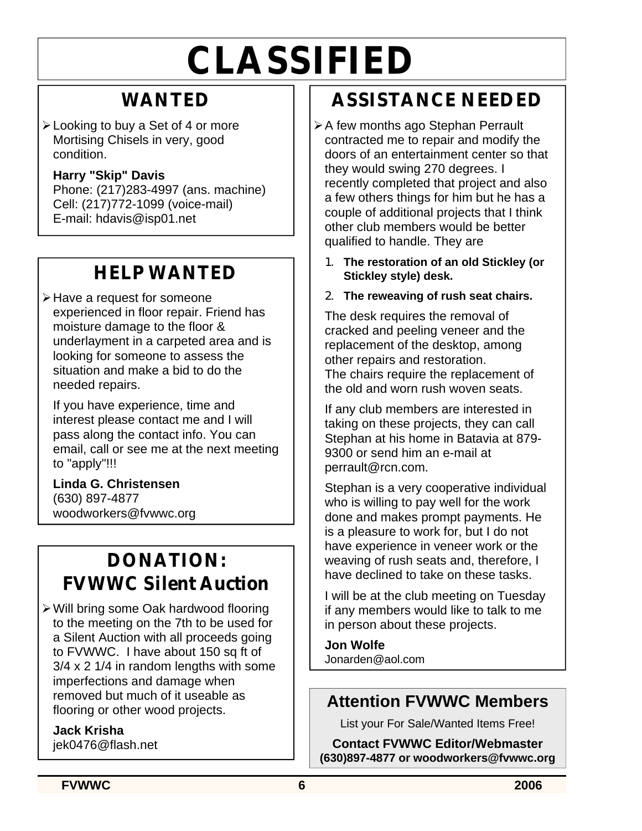# **CLASSIFIED**

## **WANTED**

 $\blacktriangleright$  Looking to buy a Set of 4 or more Mortising Chisels in very, good condition.

#### **Harry "Skip" Davis**

Phone: (217)283-4997 (ans. machine) Cell: (217)772-1099 (voice-mail) E-mail: hdavis@isp01.net

## **HELP WANTED**

**≻Have a request for someone** experienced in floor repair. Friend has moisture damage to the floor & underlayment in a carpeted area and is looking for someone to assess the situation and make a bid to do the needed repairs.

If you have experience, time and interest please contact me and I will pass along the contact info. You can email, call or see me at the next meeting to "apply"!!!

**Linda G. Christensen** (630) 897-4877 woodworkers@fvwwc.org

## **DONATION: FVWWC Silent Auction**

ÿWill bring some Oak hardwood flooring to the meeting on the 7th to be used for a Silent Auction with all proceeds going to FVWWC. I have about 150 sq ft of 3/4 x 2 1/4 in random lengths with some imperfections and damage when removed but much of it useable as flooring or other wood projects.

**Jack Krisha** jek0476@flash.net

## **ASSISTANCE NEEDED**

- **≻A few months ago Stephan Perrault** contracted me to repair and modify the doors of an entertainment center so that they would swing 270 degrees. I recently completed that project and also a few others things for him but he has a couple of additional projects that I think other club members would be better qualified to handle. They are
	- **1. The restoration of an old Stickley (or Stickley style) desk.**

#### **2. The reweaving of rush seat chairs.**

The desk requires the removal of cracked and peeling veneer and the replacement of the desktop, among other repairs and restoration. The chairs require the replacement of the old and worn rush woven seats.

If any club members are interested in taking on these projects, they can call Stephan at his home in Batavia at 879- 9300 or send him an e-mail at perrault@rcn.com.

Stephan is a very cooperative individual who is willing to pay well for the work done and makes prompt payments. He is a pleasure to work for, but I do not have experience in veneer work or the weaving of rush seats and, therefore, I have declined to take on these tasks.

I will be at the club meeting on Tuesday if any members would like to talk to me in person about these projects.

**Jon Wolfe** Jonarden@aol.com

#### **Attention FVWWC Members**

List your For Sale/Wanted Items Free!

**Contact FVWWC Editor/Webmaster (630)897-4877 or woodworkers@fvwwc.org**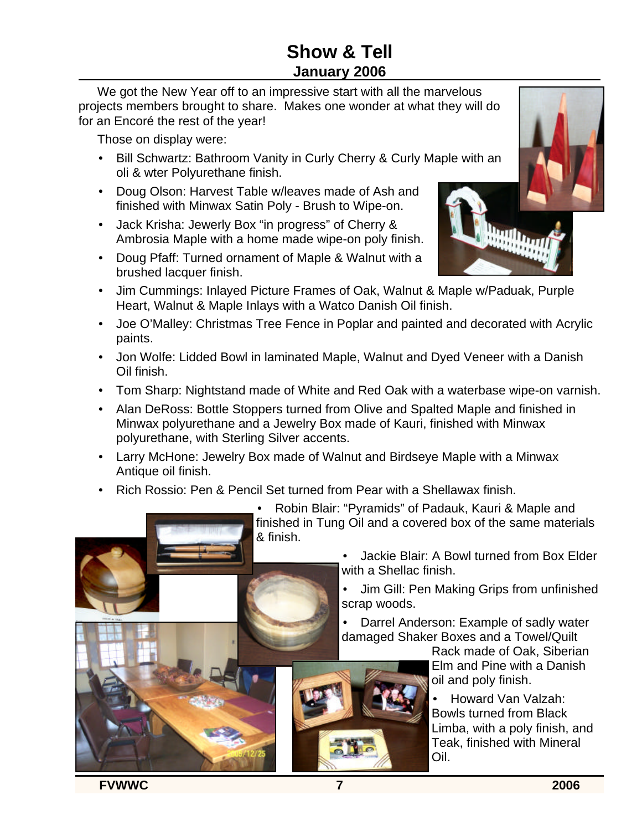### **Show & Tell January 2006**

We got the New Year off to an impressive start with all the marvelous projects members brought to share. Makes one wonder at what they will do for an Encoré the rest of the year!

Those on display were:

- Bill Schwartz: Bathroom Vanity in Curly Cherry & Curly Maple with an oli & wter Polyurethane finish.
- Doug Olson: Harvest Table w/leaves made of Ash and finished with Minwax Satin Poly - Brush to Wipe-on.
- Jack Krisha: Jewerly Box "in progress" of Cherry & Ambrosia Maple with a home made wipe-on poly finish.
- Doug Pfaff: Turned ornament of Maple & Walnut with a brushed lacquer finish.



- Jim Cummings: Inlayed Picture Frames of Oak, Walnut & Maple w/Paduak, Purple Heart, Walnut & Maple Inlays with a Watco Danish Oil finish.
- Joe O'Malley: Christmas Tree Fence in Poplar and painted and decorated with Acrylic paints.
- Jon Wolfe: Lidded Bowl in laminated Maple, Walnut and Dyed Veneer with a Danish Oil finish.
- Tom Sharp: Nightstand made of White and Red Oak with a waterbase wipe-on varnish.
- Alan DeRoss: Bottle Stoppers turned from Olive and Spalted Maple and finished in Minwax polyurethane and a Jewelry Box made of Kauri, finished with Minwax polyurethane, with Sterling Silver accents.
- Larry McHone: Jewelry Box made of Walnut and Birdseye Maple with a Minwax Antique oil finish.
- Rich Rossio: Pen & Pencil Set turned from Pear with a Shellawax finish.

• Robin Blair: "Pyramids" of Padauk, Kauri & Maple and finished in Tung Oil and a covered box of the same materials & finish.

> • Jackie Blair: A Bowl turned from Box Elder with a Shellac finish.

• Jim Gill: Pen Making Grips from unfinished scrap woods.

• Darrel Anderson: Example of sadly water damaged Shaker Boxes and a Towel/Quilt

Rack made of Oak, Siberian Elm and Pine with a Danish oil and poly finish.

• Howard Van Valzah: Bowls turned from Black Limba, with a poly finish, and Teak, finished with Mineral Oil.

**FVWWC 7 2006**